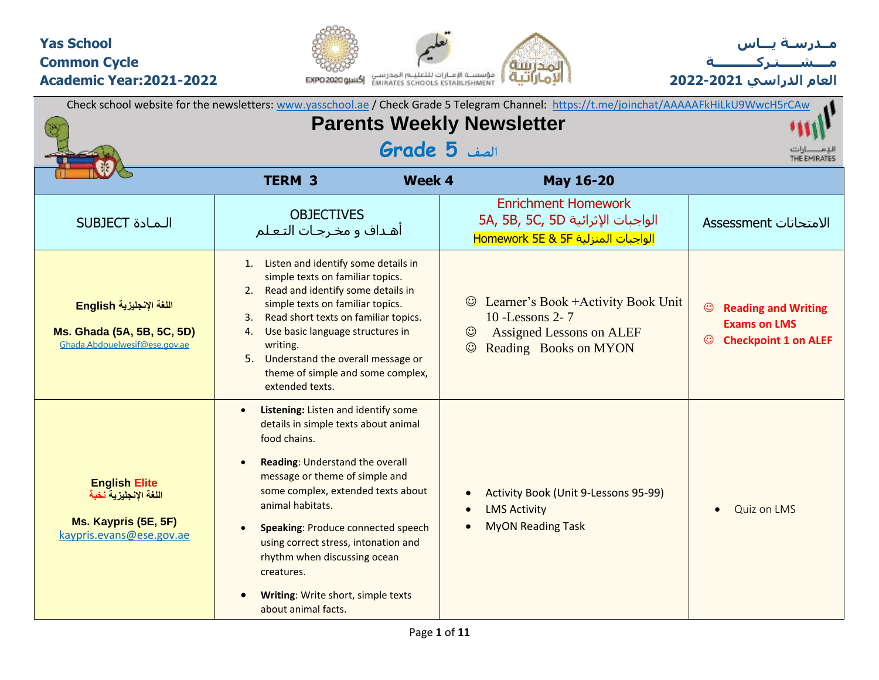### **Yas School Common Cycle Academic Year:2021-2022**





**العام الدراسي 2022-2021**

|                                                                                                   |                                                                                                                                                                                                                                                                                                                                                                                                                                         | Check school website for the newsletters: www.yasschool.ae / Check Grade 5 Telegram Channel: https://t.me/joinchat/AAAAAFkHiLkU9WwcH5rCAw |                                                                                                  |
|---------------------------------------------------------------------------------------------------|-----------------------------------------------------------------------------------------------------------------------------------------------------------------------------------------------------------------------------------------------------------------------------------------------------------------------------------------------------------------------------------------------------------------------------------------|-------------------------------------------------------------------------------------------------------------------------------------------|--------------------------------------------------------------------------------------------------|
|                                                                                                   | <b>Parents Weekly Newsletter</b>                                                                                                                                                                                                                                                                                                                                                                                                        |                                                                                                                                           |                                                                                                  |
|                                                                                                   | الصف <b>5 Grade</b>                                                                                                                                                                                                                                                                                                                                                                                                                     |                                                                                                                                           | THE EMIRATES                                                                                     |
|                                                                                                   | <b>TERM 3</b><br><b>Week 4</b>                                                                                                                                                                                                                                                                                                                                                                                                          | <b>May 16-20</b>                                                                                                                          |                                                                                                  |
| <b>SUBJECT</b> المادة                                                                             | <b>OBJECTIVES</b><br>أهـداف و مخـرجـات التـعـلم                                                                                                                                                                                                                                                                                                                                                                                         | <b>Enrichment Homework</b><br>5A, 5B, 5C, 5D الواجبات الإثرائية<br>الواجبات المنزلية Homework 5E & 5F                                     | الامتحانات Assessment                                                                            |
| اللغة الإنجليزية English<br>Ms. Ghada (5A, 5B, 5C, 5D)<br>Ghada.Abdouelwesif@ese.gov.ae           | 1. Listen and identify some details in<br>simple texts on familiar topics.<br>2. Read and identify some details in<br>simple texts on familiar topics.<br>Read short texts on familiar topics.<br>3.<br>Use basic language structures in<br>4.<br>writing.<br>5.<br>Understand the overall message or<br>theme of simple and some complex,<br>extended texts.                                                                           | Learner's Book + Activity Book Unit<br>10 - Lessons 2-7<br><b>Assigned Lessons on ALEF</b><br>$\odot$<br>$\odot$<br>Reading Books on MYON | $\odot$<br><b>Reading and Writing</b><br><b>Exams on LMS</b><br><b>Checkpoint 1 on ALEF</b><br>☺ |
| <b>English Elite</b><br>اللغة الإنجليزية نخبة<br>Ms. Kaypris (5E, 5F)<br>kaypris.evans@ese.gov.ae | Listening: Listen and identify some<br>$\bullet$<br>details in simple texts about animal<br>food chains.<br>Reading: Understand the overall<br>message or theme of simple and<br>some complex, extended texts about<br>animal habitats.<br><b>Speaking: Produce connected speech</b><br>using correct stress, intonation and<br>rhythm when discussing ocean<br>creatures.<br>Writing: Write short, simple texts<br>about animal facts. | Activity Book (Unit 9-Lessons 95-99)<br><b>LMS Activity</b><br><b>MyON Reading Task</b>                                                   | <b>Quiz on LMS</b>                                                                               |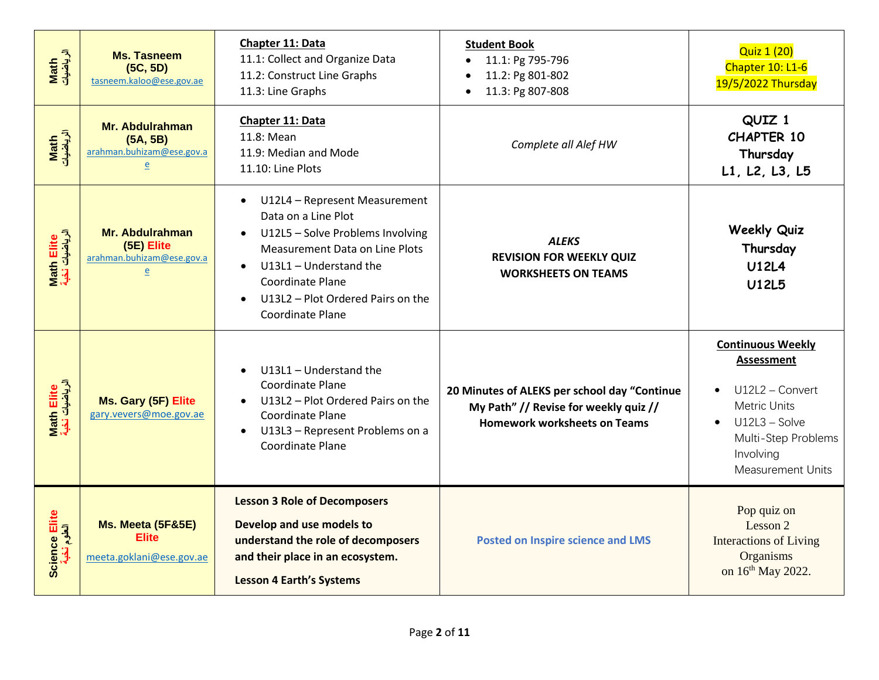| Math<br>الرياضيات            | <b>Ms. Tasneem</b><br>(5C, 5D)<br>tasneem.kaloo@ese.gov.ae                 | Chapter 11: Data<br>11.1: Collect and Organize Data<br>11.2: Construct Line Graphs<br>11.3: Line Graphs                                                                                                                                                                         | <b>Student Book</b><br>11.1: Pg 795-796<br>11.2: Pg 801-802<br>11.3: Pg 807-808                                              | <b>Quiz 1 (20)</b><br>Chapter 10: L1-6<br>19/5/2022 Thursday                                                                                                                            |
|------------------------------|----------------------------------------------------------------------------|---------------------------------------------------------------------------------------------------------------------------------------------------------------------------------------------------------------------------------------------------------------------------------|------------------------------------------------------------------------------------------------------------------------------|-----------------------------------------------------------------------------------------------------------------------------------------------------------------------------------------|
| Math<br>الرياضيات            | Mr. Abdulrahman<br>(5A, 5B)<br>arahman.buhizam@ese.gov.a<br>$\overline{e}$ | Chapter 11: Data<br>11.8: Mean<br>11.9: Median and Mode<br>11.10: Line Plots                                                                                                                                                                                                    | Complete all Alef HW                                                                                                         | QUIZ 1<br><b>CHAPTER 10</b><br>Thursday<br>L1, L2, L3, L5                                                                                                                               |
| Math Elite<br>الرياضيات نخبة | Mr. Abdulrahman<br>(5E) Elite<br>arahman.buhizam@ese.gov.a<br>e            | U12L4 - Represent Measurement<br>$\bullet$<br>Data on a Line Plot<br>U12L5 - Solve Problems Involving<br><b>Measurement Data on Line Plots</b><br>U13L1 - Understand the<br>$\bullet$<br>Coordinate Plane<br>U13L2 - Plot Ordered Pairs on the<br>$\bullet$<br>Coordinate Plane | <b>ALEKS</b><br><b>REVISION FOR WEEKLY QUIZ</b><br><b>WORKSHEETS ON TEAMS</b>                                                | <b>Weekly Quiz</b><br>Thursday<br><b>U12L4</b><br><b>U12L5</b>                                                                                                                          |
| Math Elite<br>الرياضيات نخبة | Ms. Gary (5F) Elite<br>gary.vevers@moe.gov.ae                              | U13L1 - Understand the<br>Coordinate Plane<br>U13L2 - Plot Ordered Pairs on the<br>Coordinate Plane<br>U13L3 - Represent Problems on a<br>$\bullet$<br><b>Coordinate Plane</b>                                                                                                  | 20 Minutes of ALEKS per school day "Continue<br>My Path" // Revise for weekly quiz //<br><b>Homework worksheets on Teams</b> | <b>Continuous Weekly</b><br><b>Assessment</b><br>U12L2 - Convert<br>$\bullet$<br><b>Metric Units</b><br>$U12L3 - Solve$<br>Multi-Step Problems<br>Involving<br><b>Measurement Units</b> |
| Science Elite<br>العلق ف     | Ms. Meeta (5F&5E)<br><b>Elite</b><br>meeta.goklani@ese.gov.ae              | <b>Lesson 3 Role of Decomposers</b><br>Develop and use models to<br>understand the role of decomposers<br>and their place in an ecosystem.<br><b>Lesson 4 Earth's Systems</b>                                                                                                   | <b>Posted on Inspire science and LMS</b>                                                                                     | Pop quiz on<br>Lesson 2<br><b>Interactions of Living</b><br>Organisms<br>on 16th May 2022.                                                                                              |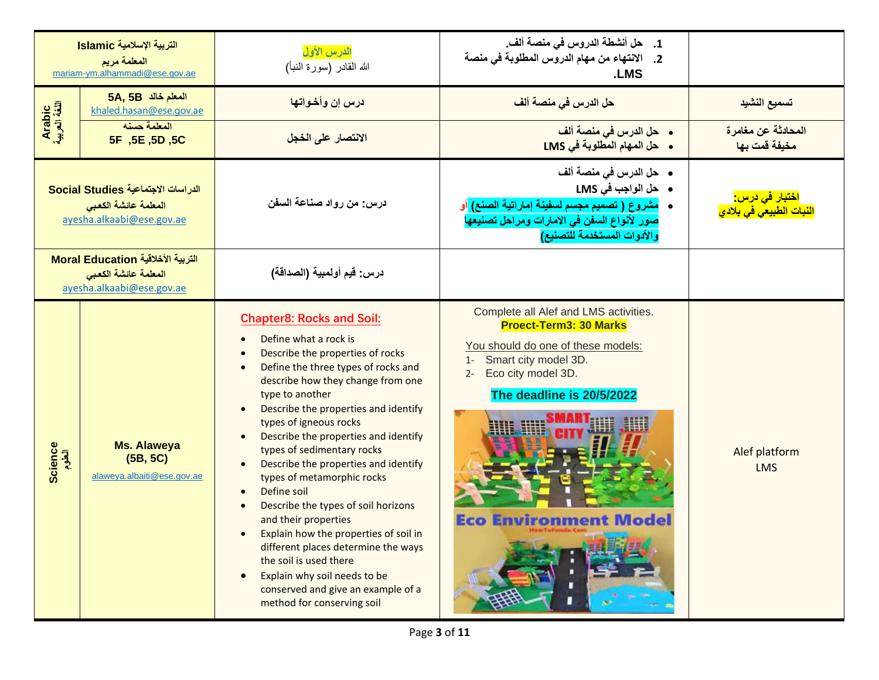|                         | التربية الإسلامية Islamic<br>المعلمة مريم<br>mariam-ym.alhammadi@ese.gov.ae             | الدرس الأول<br>الله القادر (سورة النبأ)                                                                                                                                                                                                                                                                                                                                                                                                                                                                                                                                                                                                                                                                                                                                 | 1. حل أنشطة الدروس في منصة ألف.<br>2.    الانتهاء من مهام الدروس المطلوبة في منصة<br>.LMS                                                                                                                                           |                                                                            |
|-------------------------|-----------------------------------------------------------------------------------------|-------------------------------------------------------------------------------------------------------------------------------------------------------------------------------------------------------------------------------------------------------------------------------------------------------------------------------------------------------------------------------------------------------------------------------------------------------------------------------------------------------------------------------------------------------------------------------------------------------------------------------------------------------------------------------------------------------------------------------------------------------------------------|-------------------------------------------------------------------------------------------------------------------------------------------------------------------------------------------------------------------------------------|----------------------------------------------------------------------------|
|                         | 5A, 5B المعلم خالد<br>khaled.hasan@ese.gov.ae                                           | درس إن وأخواتها                                                                                                                                                                                                                                                                                                                                                                                                                                                                                                                                                                                                                                                                                                                                                         | حل الدرس في منصة ألف                                                                                                                                                                                                                | تسميع النشيد                                                               |
| Arabic<br>اللغة العربية | المعلمة حسنه<br>5F, 5E, 5D, 5C                                                          | الانتصار على الخجل                                                                                                                                                                                                                                                                                                                                                                                                                                                                                                                                                                                                                                                                                                                                                      | •    حل الدرس في منصة ألف<br>• حل المهام المطلوبة في LMS                                                                                                                                                                            | المحادثة عن مغامرة<br>مخيفة قمت بها                                        |
|                         | الدراسات الاجتماعية Social Studies<br>المعلمة عائشة الكعبى<br>ayesha.alkaabi@ese.gov.ae | درس: من رواد صناعة السفن                                                                                                                                                                                                                                                                                                                                                                                                                                                                                                                                                                                                                                                                                                                                                | •    حل الدرس في منصة ألف<br>• حل الواجب في LMS<br>•    مشروع ( تصميم مجسم لسفينة إماراتية الصنع) أو<br>صور لأنواع السفن في الامارات ومراحل تصنيعها<br>والأدوات المستخدمة للتصنيع)                                                  | <mark>اختبار ف<i>ی</i> درس:</mark><br><mark>النبات الطبيعي في بلادي</mark> |
|                         | التربية الأخلاقية Moral Education<br>المعلمة عائشة الكعبى<br>ayesha.alkaabi@ese.gov.ae  | درس: قيم أولمبية (الصداقة)                                                                                                                                                                                                                                                                                                                                                                                                                                                                                                                                                                                                                                                                                                                                              |                                                                                                                                                                                                                                     |                                                                            |
| Science<br>العلوم       | <b>Ms. Alaweya</b><br>(5B, 5C)<br>alaweya.albaiti@ese.gov.ae                            | <b>Chapter8: Rocks and Soil:</b><br>Define what a rock is<br>$\bullet$<br>Describe the properties of rocks<br>$\bullet$<br>Define the three types of rocks and<br>$\bullet$<br>describe how they change from one<br>type to another<br>Describe the properties and identify<br>types of igneous rocks<br>Describe the properties and identify<br>types of sedimentary rocks<br>Describe the properties and identify<br>$\bullet$<br>types of metamorphic rocks<br>Define soil<br>$\bullet$<br>Describe the types of soil horizons<br>and their properties<br>Explain how the properties of soil in<br>different places determine the ways<br>the soil is used there<br>Explain why soil needs to be<br>conserved and give an example of a<br>method for conserving soil | Complete all Alef and LMS activities.<br><b>Proect-Term3: 30 Marks</b><br>You should do one of these models:<br>1- Smart city model 3D.<br>Eco city model 3D.<br>$2 -$<br>The deadline is 20/5/2022<br><b>Eco Environment Model</b> | Alef platform<br><b>LMS</b>                                                |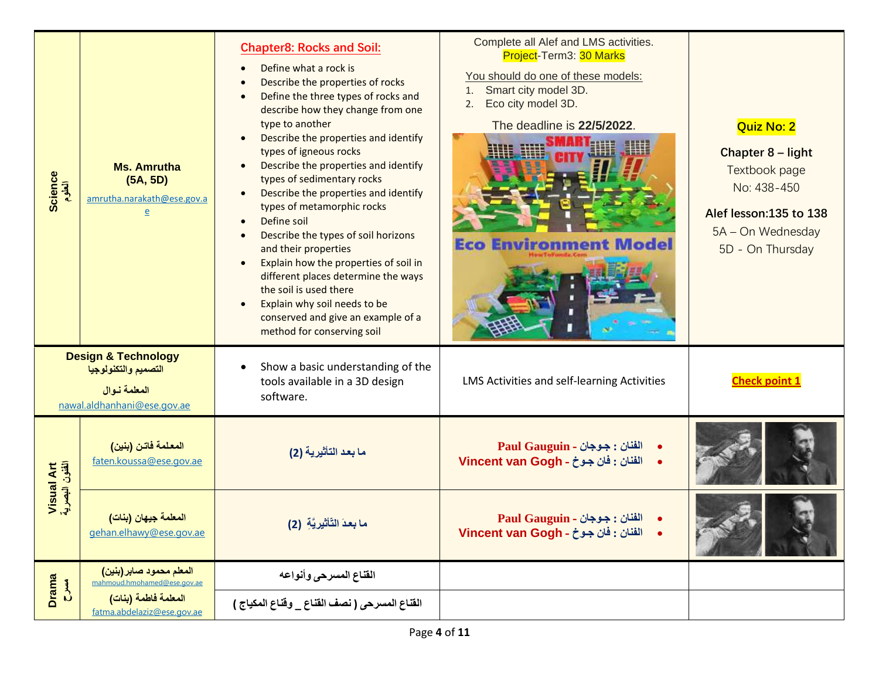| Science<br>الطوم             | <b>Ms. Amrutha</b><br>(5A, 5D)<br>amrutha.narakath@ese.gov.a<br>$\underline{e}$                       | <b>Chapter8: Rocks and Soil:</b><br>Define what a rock is<br>$\bullet$<br>Describe the properties of rocks<br>$\bullet$<br>Define the three types of rocks and<br>$\bullet$<br>describe how they change from one<br>type to another<br>Describe the properties and identify<br>types of igneous rocks<br>Describe the properties and identify<br>types of sedimentary rocks<br>Describe the properties and identify<br>$\bullet$<br>types of metamorphic rocks<br>Define soil<br>$\bullet$<br>Describe the types of soil horizons<br>$\bullet$<br>and their properties<br>Explain how the properties of soil in<br>$\bullet$<br>different places determine the ways<br>the soil is used there<br>Explain why soil needs to be<br>conserved and give an example of a<br>method for conserving soil | Complete all Alef and LMS activities.<br>Project-Term3: 30 Marks<br>You should do one of these models:<br>1. Smart city model 3D.<br>Eco city model 3D.<br>2.<br>The deadline is 22/5/2022.<br><b>Eco Environment Model</b> | Quiz No: 2<br>Chapter 8 - light<br>Textbook page<br>No: 438-450<br>Alef lesson:135 to 138<br>5A - On Wednesday<br>5D - On Thursday |
|------------------------------|-------------------------------------------------------------------------------------------------------|---------------------------------------------------------------------------------------------------------------------------------------------------------------------------------------------------------------------------------------------------------------------------------------------------------------------------------------------------------------------------------------------------------------------------------------------------------------------------------------------------------------------------------------------------------------------------------------------------------------------------------------------------------------------------------------------------------------------------------------------------------------------------------------------------|-----------------------------------------------------------------------------------------------------------------------------------------------------------------------------------------------------------------------------|------------------------------------------------------------------------------------------------------------------------------------|
|                              | <b>Design &amp; Technology</b><br>التصميم والتكنولوجيا<br>المعلمة نوال<br>nawal.aldhanhani@ese.gov.ae | Show a basic understanding of the<br>$\bullet$<br>tools available in a 3D design<br>software.                                                                                                                                                                                                                                                                                                                                                                                                                                                                                                                                                                                                                                                                                                     | LMS Activities and self-learning Activities                                                                                                                                                                                 | <b>Check point 1</b>                                                                                                               |
| Visual Art<br>الفئون البصرية | المعلمة فاتن (بنين)<br>faten.koussa@ese.gov.ae                                                        | ما بعد التأثيرية (2)                                                                                                                                                                                                                                                                                                                                                                                                                                                                                                                                                                                                                                                                                                                                                                              | الفنان : جـوجان - Paul Gauguin<br>الفنان : فان جوخ - Vincent van Gogh                                                                                                                                                       |                                                                                                                                    |
|                              | ا <mark>لمعلمة جيهان (بنات)</mark><br>gehan.elhawy@ese.gov.ae                                         | ما بعدَ التَأْثيريَّةِ (2)                                                                                                                                                                                                                                                                                                                                                                                                                                                                                                                                                                                                                                                                                                                                                                        | الفنان : جوجان - Paul Gauguin<br>· الفنان : فان جوخ - Vincent van Gogh                                                                                                                                                      |                                                                                                                                    |
| Drama<br>C                   | المعلم محمود صابر (بنين)<br>mahmoud.hmohamed@ese.gov.ae                                               | القناع المسرحى وأنواعه                                                                                                                                                                                                                                                                                                                                                                                                                                                                                                                                                                                                                                                                                                                                                                            |                                                                                                                                                                                                                             |                                                                                                                                    |
|                              | المعلمة فاطمة (بنات)<br>fatma.abdelaziz@ese.gov.ae                                                    | القناع المسرحي ( نصف القناع _ وقناع المكياج )                                                                                                                                                                                                                                                                                                                                                                                                                                                                                                                                                                                                                                                                                                                                                     |                                                                                                                                                                                                                             |                                                                                                                                    |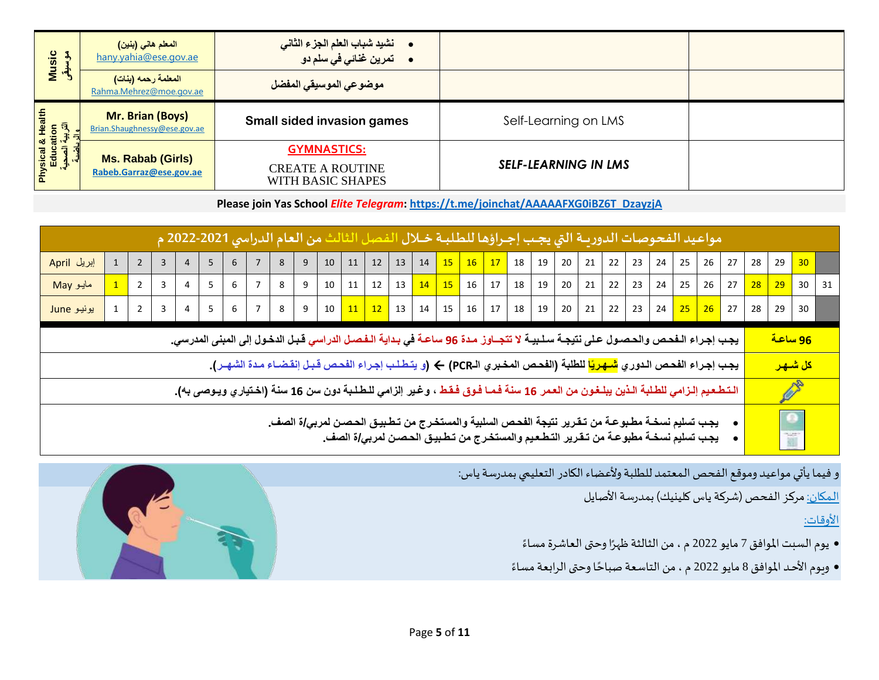| <b>Music</b><br>$\mathbf{3}$     | المعلم هاني (بنين)<br>hany.yahia@ese.gov.ae      | •      نشيد شباب العلم الجزء الثاني<br><b>•</b> تمرين غنائ <i>ي في س</i> لم دو |                             |  |
|----------------------------------|--------------------------------------------------|--------------------------------------------------------------------------------|-----------------------------|--|
|                                  | المعلمة رحمه (بنات)<br>Rahma.Mehrez@moe.gov.ae   | موضوعي الموسيقي المفضل                                                         |                             |  |
| & Health<br>:ation<br>  ಸ್ಪ್ರೆವಿ | Mr. Brian (Boys)<br>Brian.Shaughnessy@ese.gov.ae | <b>Small sided invasion games</b>                                              | Self-Learning on LMS        |  |
|                                  | Ms. Rabab (Girls)                                | <b>GYMNASTICS:</b>                                                             |                             |  |
| Physical<br>Educ                 | Rabeb.Garraz@ese.gov.ae                          | <b>CREATE A ROUTINE</b><br>WITH BASIC SHAPES                                   | <b>SELF-LEARNING IN LMS</b> |  |

**Please join Yas School** *Elite Telegram***: [https://t.me/joinchat/AAAAAFXG0iBZ6T\\_DzayzjA](https://t.me/joinchat/AAAAAFXG0iBZ6T_DzayzjA)**

|             |  |                |                |   |                |                |   |   |                 |    |         | مواعيد الفحوصات الدوريــة التي يجـب إجـراؤها للطلبــة خــلال الفصل الثالث من العام الدراسي 2021-2022 م                                                                                                      |    |                                                                   |          |    |    |               |    |    |    |    |    |    |                       |    |                      |                      |    |
|-------------|--|----------------|----------------|---|----------------|----------------|---|---|-----------------|----|---------|-------------------------------------------------------------------------------------------------------------------------------------------------------------------------------------------------------------|----|-------------------------------------------------------------------|----------|----|----|---------------|----|----|----|----|----|----|-----------------------|----|----------------------|----------------------|----|
| إبريل April |  | $\overline{3}$ | 4              | 5 | 6              |                | 8 | 9 | 10 <sup>1</sup> | 11 | 12      | 13                                                                                                                                                                                                          | 14 |                                                                   | 15 16 17 | 18 | 19 | 20            | 21 | 22 | 23 | 24 | 25 | 26 | 27                    | 28 | 29                   | 30                   |    |
| May مايو    |  | 3              | 4              | 5 | 6              |                | 8 | 9 | 10 <sup>1</sup> | 11 | 12      | 13                                                                                                                                                                                                          |    | $\begin{array}{ c c c c c c }\n\hline\n14 & 15 & 16\n\end{array}$ | 17       | 18 | 19 | 20            | 21 | 22 | 23 | 24 | 25 | 26 | 27                    | 28 | 29                   | 30 <sup>°</sup>      | 31 |
| يونيو June  |  | $\overline{3}$ | $\overline{4}$ | 5 | 6 <sup>1</sup> | $\overline{7}$ | 8 | 9 | 10              |    | $11$ 12 | 13                                                                                                                                                                                                          |    | $14 \mid 15 \mid 16 \mid$                                         | 17       |    |    | $18$ 19 20 21 |    | 22 | 23 | 24 |    |    | <mark>25 26</mark> 27 | 28 | 29                   | 30                   |    |
|             |  |                |                |   |                |                |   |   |                 |    |         | يجب إجراء الـفحص والحصول على نتيجـة سـلـبيـة لا تتجــاوز مـدة 96 ساعـة في بـدايـة الـفـصـل الدراسي قـبـل الدخول إلى المبنى المدرسي.                                                                         |    |                                                                   |          |    |    |               |    |    |    |    |    |    |                       |    | <u>96 ساعة</u>       |                      |    |
|             |  |                |                |   |                |                |   |   |                 |    |         | يجب إجراء الفحص الدوري <mark>شـهريًا</mark> للطلبة (الفحص المخبري الـPCR) ← (و يتطـلب إجراء الفحص قبـل إنقضـاء مدة الشهـر).                                                                                 |    |                                                                   |          |    |    |               |    |    |    |    |    |    |                       |    |                      | <mark>كل شىھر</mark> |    |
|             |  |                |                |   |                |                |   |   |                 |    |         | الـتـطـعـيم إلـزامي للطـلبة الـذين يبلـغـون من العـمر 16 سنـة فـمـا فـوق فـقـط ، وغـير إلزامي للـطـلـبة دون سن 16 سنـة (اخـتياري ويـوصى بـ4).                                                               |    |                                                                   |          |    |    |               |    |    |    |    |    |    |                       |    |                      | B.                   |    |
|             |  |                |                |   |                |                |   |   |                 |    |         | يجب تسليم نسخــة مطـبوعــة من تـقـرير نتيجة الفحـص السلبيـة والمستخـرج من تـطـبيـق الحـصـن لمربـي/ة الصف_<br>يجـب تسليم نسخــة مطبوعــة من تـقـرير التـطـعـيم والمستخـرج من تـطـبيـق الحـصـن لمربـي/ة الصف_ |    |                                                                   |          |    |    |               |    |    |    |    |    |    |                       |    | $\frac{1}{\sqrt{2}}$ |                      |    |

و فيما يأتي مواعيد وموقع الفحص المعتمد للطلبة ولأعضاء الكادر التعليمي بمدرسة ياس:

المكان: مركز الفحص (شركة ياس كلينيك) بمدرسة الأصايل

#### األوقات:

- .<br>● يوم السبت الموافق 7 مايو 2022 م ، من الثالثة ظهرًا وحتى العاشرة مساءً ً
- ويوم الأحد الموافق 8 مايو 2022 م ، من التاسعة صباحًا وحتى الرابعة مساءً ้ ً

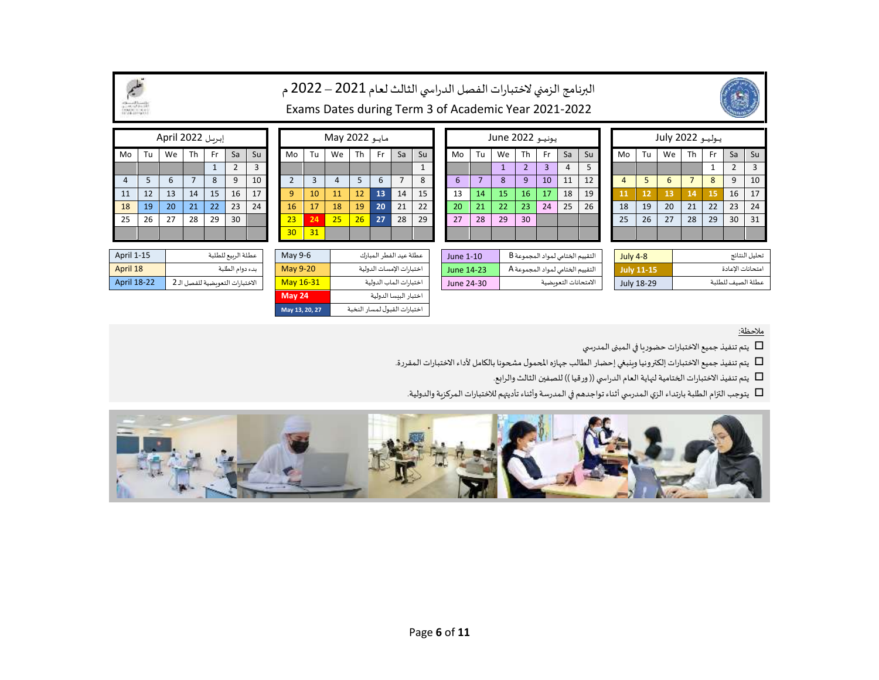|                |    | إبريل April 2022 |    |     |    |    |                 |    | May 2022 |    |     |    |    |             |    | يونيو June 2022 |    |           |    |    |    |    | يوليو 2022 July |    |           |    |    |
|----------------|----|------------------|----|-----|----|----|-----------------|----|----------|----|-----|----|----|-------------|----|-----------------|----|-----------|----|----|----|----|-----------------|----|-----------|----|----|
| Mo             | Tu | We               | Th | Fr. | Sa | Su | Mo              | Tu | We       | Th | Fr. | Sa | Su | Mo          | Tu | We              | Th | <b>Fr</b> | Sa | Su | Mo | Tu | We              | Th | <b>Fr</b> | Sa | Su |
|                |    |                  |    |     |    |    |                 |    |          |    |     |    |    |             |    |                 |    |           | 4  |    |    |    |                 |    |           |    | 3  |
| $\overline{4}$ |    |                  |    | 8   | 9  | 10 |                 |    |          |    | 6   |    | 8  | $\mathbf b$ |    | 8               |    | 10        | 11 | 12 |    |    | 6               |    | 8         | 9  | 10 |
| 11             | 12 | 13               | 14 | 15  | 16 | 17 | q               | 10 | 11       | 12 | 13  | 14 | 15 | 13          | 14 | <sup>15</sup>   | 16 | 17        | 18 | 19 | 11 | 12 | 13              | 14 | 15        | 16 | 17 |
| 18             | 19 | 20               | 21 | 22  | 23 | 24 | 16              | 17 | 18       | 19 | 20  | 21 | 22 | 20          | 21 | 22              | 23 | 24        | 25 | 26 | 18 | 19 | 20              | 21 | 22        | 23 | 24 |
| 25             | 26 | 27               | 28 | 29  | 30 |    | 23 <sup>2</sup> | 24 | 25       | 26 | 27  | 28 | 29 | 27          | 28 | 29              | 30 |           |    |    | 25 | 26 | 27              | 28 | 29        | 30 | 31 |
|                |    |                  |    |     |    |    | 30 <sub>2</sub> | 31 |          |    |     |    |    |             |    |                 |    |           |    |    |    |    |                 |    |           |    |    |
|                |    |                  |    |     |    |    |                 |    |          |    |     |    |    |             |    |                 |    |           |    |    |    |    |                 |    |           |    |    |

|    |                |    | يوليو 2022 July |    |    |                |                |
|----|----------------|----|-----------------|----|----|----------------|----------------|
|    | Mo             | Tu | We              | Th | Fr | Sa             | Su             |
|    |                |    |                 |    | 1  | $\overline{2}$ | $\overline{3}$ |
|    | $\overline{4}$ | 5  | 6               | 7  | 8  | 9              | 10             |
|    | 11             | 12 | 13              | 14 | 15 | 16             | 17             |
|    | 18             | 19 | 20              | 21 | 22 | 23             | 24             |
|    | 25             | 26 | 27              | 28 | 29 | 30             | 31             |
|    |                |    |                 |    |    |                |                |
| Ŧ. |                |    |                 |    |    |                |                |

| April 1-15         | عطلة الربيع للطلبة               | May 9-6   | عطلة عيد الفطر المبارك   | June 1-10  | التقييم الختامي لمواد المجموعة B | July 4-8   | تحليل النتائج     |
|--------------------|----------------------------------|-----------|--------------------------|------------|----------------------------------|------------|-------------------|
| April 18           | بدء دوام الطلبة                  | May 9-20  | اختبارات الإمسات الدولية | June 14-23 | التقييم الختامي لمواد المجموعة A | July 11-15 | امتحانات الاعادة  |
| <b>April 18-22</b> | الاختبارات التعويضية للفصل الـ 2 | May 16-31 | اختبارات الماب الدولية   | June 24-30 | الامتحانات التعويضية             | July 18-29 | عطلة الصيف للطلية |
|                    |                                  |           |                          |            |                                  |            |                   |

|                |    | مایو IVIdy ZUZZ |                                   |    |    |    |  |  |  |  |  |
|----------------|----|-----------------|-----------------------------------|----|----|----|--|--|--|--|--|
| Mo             | Tu | We              | Th                                | Fr | Sa | Su |  |  |  |  |  |
|                |    |                 |                                   |    |    | 1  |  |  |  |  |  |
| $\overline{2}$ | 3  | $\overline{4}$  | 5                                 | 6  |    | 8  |  |  |  |  |  |
| 9              | 10 | 11              | 12                                | 13 | 14 | 15 |  |  |  |  |  |
| 16             | 17 | 18              | 19                                | 20 | 21 | 22 |  |  |  |  |  |
| 23             | 24 | 25              | 26                                | 27 | 28 | 29 |  |  |  |  |  |
| 30             | 31 |                 |                                   |    |    |    |  |  |  |  |  |
|                |    |                 |                                   |    |    |    |  |  |  |  |  |
| May0.6         |    |                 | odalisa tili talatti koko Gittako |    |    |    |  |  |  |  |  |

اختبار البيسا الدولية **24 May** اختباراتالقبول لـمسارالنخبة **27 20, 13, May**

|    |    | إبريل April 2022 |    |              |                |    |
|----|----|------------------|----|--------------|----------------|----|
| Mo | Tu | We               | Th | Fr           | Sa             | Su |
|    |    |                  |    | $\mathbf{1}$ | $\overline{2}$ | 3  |
| 4  | 5  | 6                | 7  | 8            | 9              | 10 |
| 11 | 12 | 13               | 14 | 15           | 16             | 17 |
| 18 | 19 | 20               | 21 | 22           | 23             | 24 |
| 25 | 26 | 27               | 28 | 29           | 30             |    |
|    |    |                  |    |              |                |    |

| April 1-15         | عطلة الربيع للطلبة               |
|--------------------|----------------------------------|
| April 18           | بدء دوام الطلبة                  |
| <b>April 18-22</b> | الاختبارات التعويضية للفصل الـ 2 |

#### مالحظة:

يتم تنفيذ جميع الاختبارات حضوريا في المبنى المدرسي  $\Box$ 

 $\Box$ يتم تنفيذ جميع الاختبارات إلكترونيا وينبغي إحضار الطالب جهازه المحمول مشحونا بالكامل لأداء الاختبارات المقررة.

يتم تنفيذ االختباراتالختاميةلنهايةالعام الدراس ي ))ورقيا (( للصفين الثالث والرابع.

يتوجب التزام الطلبة بارتداء الزي المدرسي أثناء تواجدهم في المدرسة وأثناء تأديتهم للاختبارات المركزية والدولية.



البرنامج الزمني لاختبارات الفصل الدراسي الثالث لعام 2021 – 2022 م Exams Dates during Term 3 of Academic Year 2021-2022



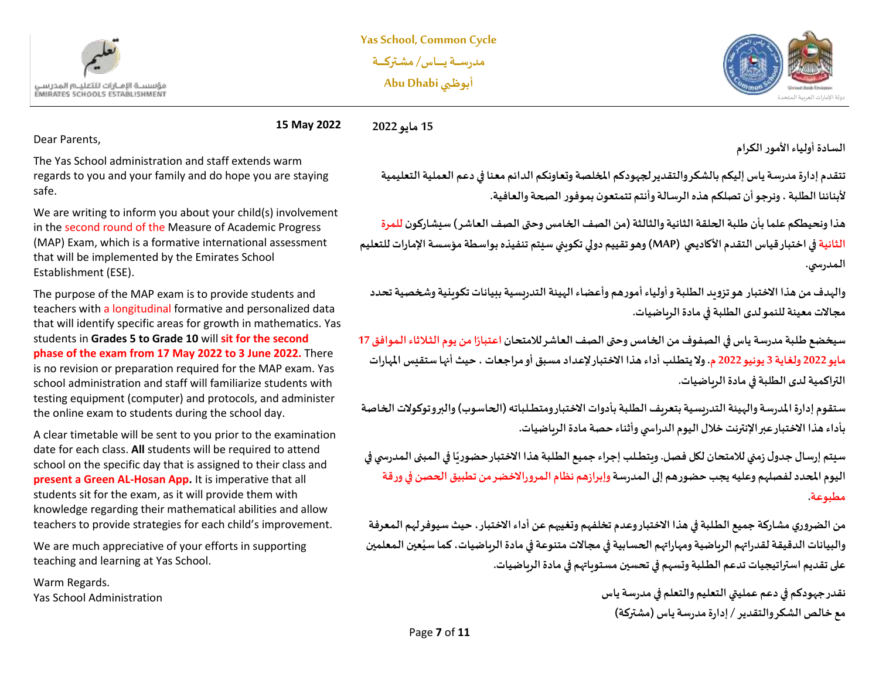



**15 May 2022 15 مايو 2022**

Dear Parents,

The Yas School administration and staff extends warm regards to you and your family and do hope you are staying safe.

We are writing to inform you about your child(s) involvement in the second round of the Measure of Academic Progress (MAP) Exam, which is a formative international assessment that will be implemented by the Emirates School Establishment (ESE).

The purpose of the MAP exam is to provide students and teachers with a longitudinal formative and personalized data that will identify specific areas for growth in mathematics. Yas students in **Grades 5 to Grade 10** will **sit for the second phase of the exam from 17 May 2022 to 3 June 2022.** There is no revision or preparation required for the MAP exam. Yas school administration and staff will familiarize students with testing equipment (computer) and protocols, and administer the online exam to students during the school day.

A clear timetable will be sent to you prior to the examination date for each class. **All** students will be required to attend school on the specific day that is assigned to their class and **present a Green AL-Hosan App.** It is imperative that all students sit for the exam, as it will provide them with knowledge regarding their mathematical abilities and allow teachers to provide strategies for each child's improvement.

We are much appreciative of your efforts in supporting teaching and learning at Yas School.

Warm Regards. Yas School Administration **السادة أولياءاألمورالكرام** 

**تتقدم إدارةمدرسةياس إليكم بالشكروالتقديرلجهودكم املخلصة وتعاونكم الدائم معنا في دعم العملية التعليمية ألبنائنا الطلبة ، ونرجوأن تصلكم هذهالرسالةوأنتم تتمتعون بموفورالصحةوالعافية.** 

**هذاونحيطكم علما بأن طـلبةالحلقةالثانيةوالثالثة)من الصف الخامس وحتىالصف العاشر( سيشاركون للمرة الثانية في اختبار قياس التقدم األكاديمي (MAP (وهوتقييم دوليتكويني سيتم تنفيذهبواسطةمؤسسةاإلماراتللتعليم الـمدرس ي.**

**والهدف من هذا االختبار هوتزويد الطـلبةوأولياءأمورهم و أعضاءالهيئةالتدريسيةببيانات تكوينية وشخصية تحدد مجاالت معينة للنمو لدى الطـلبة في مادة الرياضيات.** 

**ً**سيخضع طلبة مدرسة ياس في الصفوف من الخامس وحتى الصف العاشر للامتحان اعتبارًا من يوم الثلاثاء الموافق 17 **مايو 2022 ولغاية 3 يونيو 2022 م . و ال يتطــلب أداء هذا االختبار إلعداد مسبق أو مراجعات ، حيثأنهاستقيس املهارات التراكمية لدى الطلبة في مادة الرياضيات.** 

**ستقوم إدارةاملدرسةوالهيئةالتدريسيةبتعريف الطـلبةبأدوات االختبار ومتطـــلباته )الحاسوب( والبروتوكوالت الخاصة بأداء هذا االختبار عبر اإل نترنتخالل اليوم الدراس يوأثناء حصة مادة الرياضيات.** 

**ً**سيتم إرسال جدول زمني للامتحان لكل فصل. ويتطـلب إجراء جميع الطلبة هذا الاختبار حضوريًا في المبنى المدرسي في **اليوم املحدد لفصلهم و عليهيجبحضورهم إلىالـمدرسةوإبرازهم نظام الـمروراالخضرمن تطبيق الحصن فيورقة مطبوعة.**

**من الضروري مشاركة جميع الطــلبةفي هذا االختبار وعدم تخلفهم وتغيبهم عن أداء االختبار، حيث سيوفر لهم الـمعرفة ُ**والبيانات الدقيقة لقدراتهم الرباضية ومهاراتهم الحسابية في مجالات متنوعة في مادة الرباضيات، كما سيُعين المعلمين **على تقديم استراتيجيات تدعم الطــلبة وتسهم في تحسين مستو ياتهم في مادة الرياضيات.** 

> **نقدر جهودكم في دعم عمليتي التعليم والتعلم فيمدرسةياس مع خالص الشكر والتقدير /إدارةمدرسةياس )مشتركة(**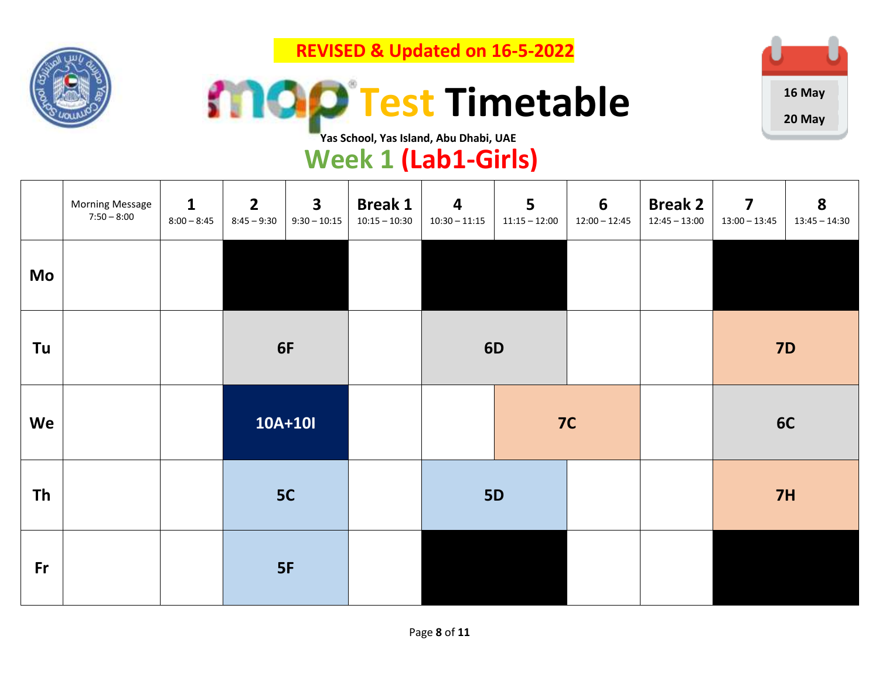

 **REVISED & Updated on 16-5-2022**





**Yas School, Yas Island, Abu Dhabi, UAE**

## **Week 1 (Lab1-Girls)**

|           | <b>Morning Message</b><br>$7:50 - 8:00$ | $\mathbf{1}$<br>$8:00 - 8:45$ | $\overline{2}$<br>$8:45 - 9:30$ | $\overline{\mathbf{3}}$<br>$9:30 - 10:15$ | <b>Break 1</b><br>$10:15 - 10:30$ | $\overline{\mathbf{4}}$<br>$10:30 - 11:15$ | 5<br>$11:15 - 12:00$ | 6<br>$12:00 - 12:45$ | <b>Break 2</b><br>$12:45 - 13:00$ | $\overline{\mathbf{z}}$<br>$13:00 - 13:45$ | 8<br>$13:45 - 14:30$ |
|-----------|-----------------------------------------|-------------------------------|---------------------------------|-------------------------------------------|-----------------------------------|--------------------------------------------|----------------------|----------------------|-----------------------------------|--------------------------------------------|----------------------|
| Mo        |                                         |                               |                                 |                                           |                                   |                                            |                      |                      |                                   |                                            |                      |
| Tu        |                                         |                               | 6F                              |                                           |                                   | <b>6D</b>                                  |                      |                      |                                   | <b>7D</b>                                  |                      |
| We        |                                         |                               | 10A+10I                         |                                           |                                   |                                            | 7C                   |                      |                                   | 6C                                         |                      |
| <b>Th</b> |                                         |                               | 5C                              |                                           |                                   | <b>5D</b>                                  |                      |                      |                                   |                                            | 7H                   |
| Fr        |                                         |                               |                                 | 5F                                        |                                   |                                            |                      |                      |                                   |                                            |                      |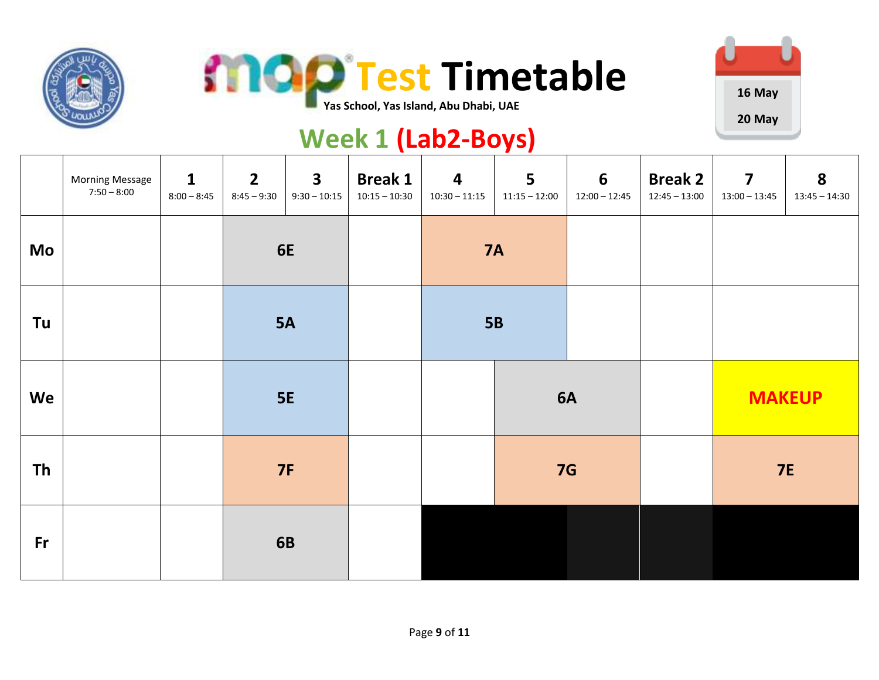





#### **Yas School, Yas Island, Abu Dhabi, UAE**

## **Week 1 (Lab2-Boys)**

|           | <b>Morning Message</b><br>$7:50 - 8:00$ | $\mathbf{1}$<br>$8:00 - 8:45$ | $\overline{2}$<br>$8:45 - 9:30$ | $\overline{\mathbf{3}}$<br>$9:30 - 10:15$ | <b>Break 1</b><br>$10:15 - 10:30$ | $\overline{\mathbf{4}}$<br>$10:30 - 11:15$ | 5<br>$11:15 - 12:00$ | $6\phantom{1}$<br>$12:00 - 12:45$ | <b>Break 2</b><br>$12:45 - 13:00$ | $\overline{\mathbf{z}}$<br>$13:00 - 13:45$ | 8<br>$13:45 - 14:30$ |
|-----------|-----------------------------------------|-------------------------------|---------------------------------|-------------------------------------------|-----------------------------------|--------------------------------------------|----------------------|-----------------------------------|-----------------------------------|--------------------------------------------|----------------------|
| Mo        |                                         |                               | 6E                              |                                           |                                   | <b>7A</b>                                  |                      |                                   |                                   |                                            |                      |
| Tu        |                                         |                               | <b>5A</b>                       |                                           |                                   | <b>5B</b>                                  |                      |                                   |                                   |                                            |                      |
| We        |                                         |                               | <b>5E</b>                       |                                           |                                   |                                            |                      | <b>6A</b>                         |                                   | <b>MAKEUP</b>                              |                      |
| <b>Th</b> |                                         |                               | <b>7F</b>                       |                                           |                                   |                                            | 7G                   |                                   |                                   | <b>7E</b>                                  |                      |
| <b>Fr</b> |                                         |                               |                                 | <b>6B</b>                                 |                                   |                                            |                      |                                   |                                   |                                            |                      |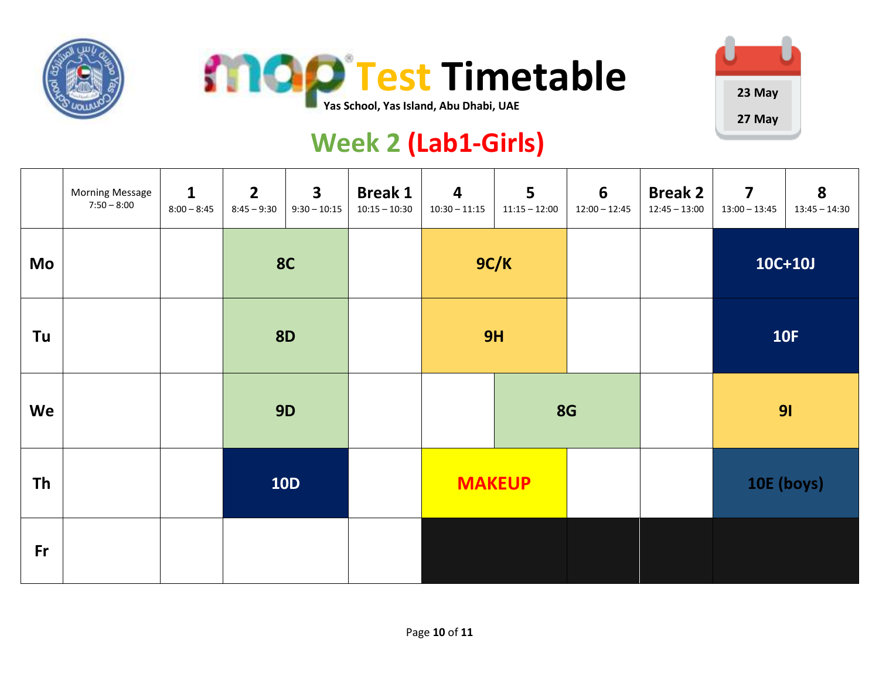





# **Week 2 (Lab1-Girls)**

|           | <b>Morning Message</b><br>$7:50 - 8:00$ | $\mathbf{1}$<br>$8:00 - 8:45$ | $2^{\circ}$<br>$8:45 - 9:30$ | $\mathbf{3}$<br>$9:30 - 10:15$ | <b>Break 1</b><br>$10:15 - 10:30$ | $\boldsymbol{4}$<br>$10:30 - 11:15$ | 5<br>$11:15 - 12:00$ | $6\phantom{1}6$<br>$12:00 - 12:45$ | <b>Break 2</b><br>$12:45 - 13:00$ | $\overline{\mathbf{z}}$<br>$13:00 - 13:45$ | 8<br>$13:45 - 14:30$ |
|-----------|-----------------------------------------|-------------------------------|------------------------------|--------------------------------|-----------------------------------|-------------------------------------|----------------------|------------------------------------|-----------------------------------|--------------------------------------------|----------------------|
| Mo        |                                         |                               | <b>8C</b>                    |                                |                                   | 9C/K                                |                      |                                    |                                   | 10C+10J                                    |                      |
| Tu        |                                         |                               | <b>8D</b>                    |                                |                                   | 9H                                  |                      |                                    |                                   | <b>10F</b>                                 |                      |
| We        |                                         |                               | <b>9D</b>                    |                                |                                   |                                     |                      | <b>8G</b>                          |                                   | 91                                         |                      |
| <b>Th</b> |                                         |                               | <b>10D</b>                   |                                |                                   | <b>MAKEUP</b>                       |                      |                                    |                                   | 10E (boys)                                 |                      |
| Fr        |                                         |                               |                              |                                |                                   |                                     |                      |                                    |                                   |                                            |                      |